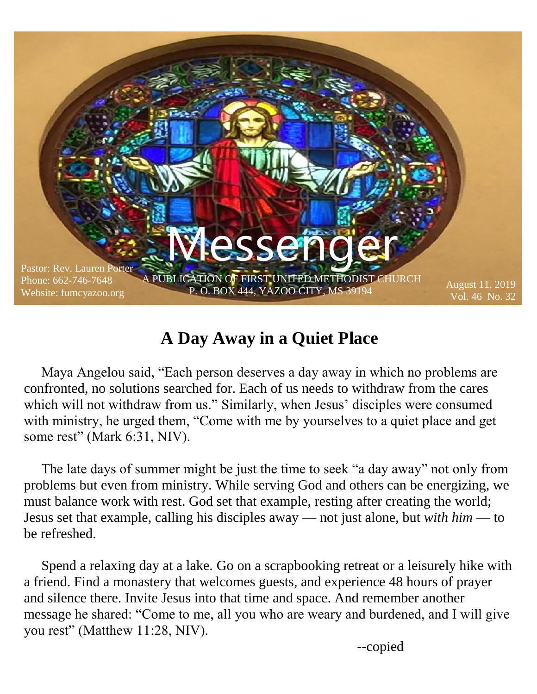

#### **A Day Away in a Quiet Place**

 Maya Angelou said, "Each person deserves a day away in which no problems are confronted, no solutions searched for. Each of us needs to withdraw from the cares which will not withdraw from us." Similarly, when Jesus' disciples were consumed with ministry, he urged them, "Come with me by yourselves to a quiet place and get some rest" (Mark 6:31, NIV).

 The late days of summer might be just the time to seek "a day away" not only from problems but even from ministry. While serving God and others can be energizing, we must balance work with rest. God set that example, resting after creating the world; Jesus set that example, calling his disciples away — not just alone, but *with him* — to be refreshed.

 Spend a relaxing day at a lake. Go on a scrapbooking retreat or a leisurely hike with a friend. Find a monastery that welcomes guests, and experience 48 hours of prayer and silence there. Invite Jesus into that time and space. And remember another message he shared: "Come to me, all you who are weary and burdened, and I will give you rest" (Matthew 11:28, NIV).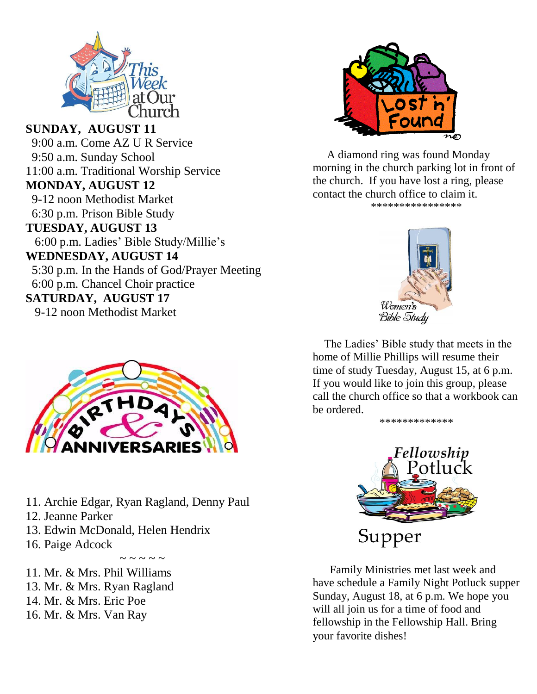

**SUNDAY, AUGUST 11** 9:00 a.m. Come AZ U R Service 9:50 a.m. Sunday School 11:00 a.m. Traditional Worship Service **MONDAY, AUGUST 12** 9-12 noon Methodist Market 6:30 p.m. Prison Bible Study **TUESDAY, AUGUST 13** 6:00 p.m. Ladies' Bible Study/Millie's **WEDNESDAY, AUGUST 14** 5:30 p.m. In the Hands of God/Prayer Meeting 6:00 p.m. Chancel Choir practice **SATURDAY, AUGUST 17** 9-12 noon Methodist Market



- 11. Archie Edgar, Ryan Ragland, Denny Paul
- 12. Jeanne Parker
- 13. Edwin McDonald, Helen Hendrix
- 16. Paige Adcock

. . . . . . . . .

- 11. Mr. & Mrs. Phil Williams 13. Mr. & Mrs. Ryan Ragland
- 14. Mr. & Mrs. Eric Poe
- 16. Mr. & Mrs. Van Ray



 A diamond ring was found Monday morning in the church parking lot in front of the church. If you have lost a ring, please contact the church office to claim it. \*\*\*\*\*\*\*\*\*\*\*\*\*\*\*\*



 The Ladies' Bible study that meets in the home of Millie Phillips will resume their time of study Tuesday, August 15, at 6 p.m. If you would like to join this group, please call the church office so that a workbook can be ordered.





 Family Ministries met last week and have schedule a Family Night Potluck supper Sunday, August 18, at 6 p.m. We hope you will all join us for a time of food and fellowship in the Fellowship Hall. Bring your favorite dishes!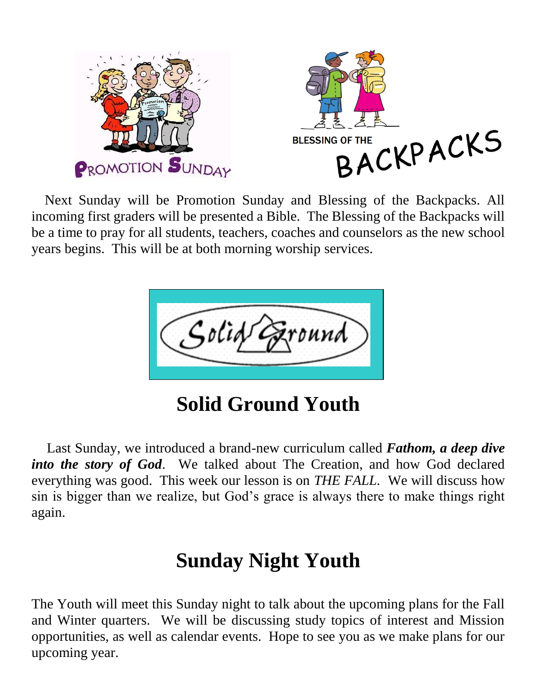

 Next Sunday will be Promotion Sunday and Blessing of the Backpacks. All incoming first graders will be presented a Bible. The Blessing of the Backpacks will be a time to pray for all students, teachers, coaches and counselors as the new school years begins. This will be at both morning worship services.



**Solid Ground Youth** 

 Last Sunday, we introduced a brand-new curriculum called *Fathom, a deep dive into the story of God*. We talked about The Creation, and how God declared everything was good. This week our lesson is on *THE FALL.* We will discuss how sin is bigger than we realize, but God's grace is always there to make things right again.

## **Sunday Night Youth**

The Youth will meet this Sunday night to talk about the upcoming plans for the Fall and Winter quarters. We will be discussing study topics of interest and Mission opportunities, as well as calendar events. Hope to see you as we make plans for our upcoming year.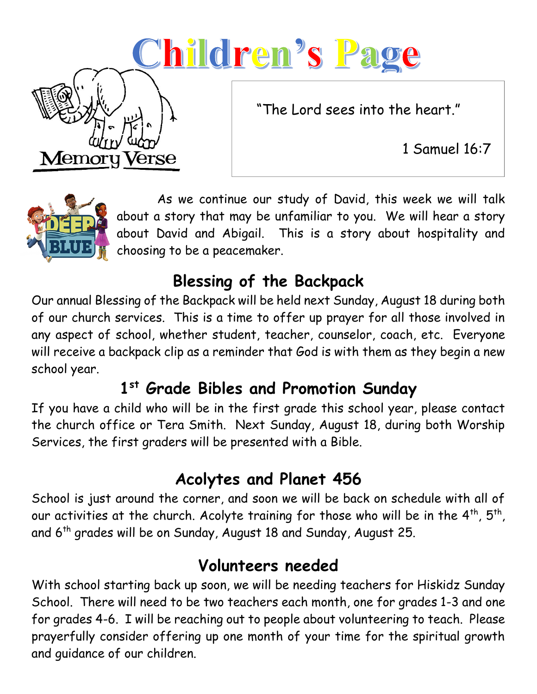# <u>Children's Page</u>

"The Lord sees into the heart."

1 Samuel 16:7



Memor

Verse

 As we continue our study of David, this week we will talk about a story that may be unfamiliar to you. We will hear a story about David and Abigail. This is a story about hospitality and choosing to be a peacemaker.

## **Blessing of the Backpack**

Our annual Blessing of the Backpack will be held next Sunday, August 18 during both of our church services. This is a time to offer up prayer for all those involved in any aspect of school, whether student, teacher, counselor, coach, etc. Everyone will receive a backpack clip as a reminder that God is with them as they begin a new school year.

## **1 st Grade Bibles and Promotion Sunday**

If you have a child who will be in the first grade this school year, please contact the church office or Tera Smith. Next Sunday, August 18, during both Worship Services, the first graders will be presented with a Bible.

## **Acolytes and Planet 456**

School is just around the corner, and soon we will be back on schedule with all of our activities at the church. Acolyte training for those who will be in the  $4^{\text{th}}$ ,  $5^{\text{th}}$ , and  $6<sup>th</sup>$  grades will be on Sunday, August 18 and Sunday, August 25.

### **Volunteers needed**

With school starting back up soon, we will be needing teachers for Hiskidz Sunday School. There will need to be two teachers each month, one for grades 1-3 and one for grades 4-6. I will be reaching out to people about volunteering to teach. Please prayerfully consider offering up one month of your time for the spiritual growth and guidance of our children.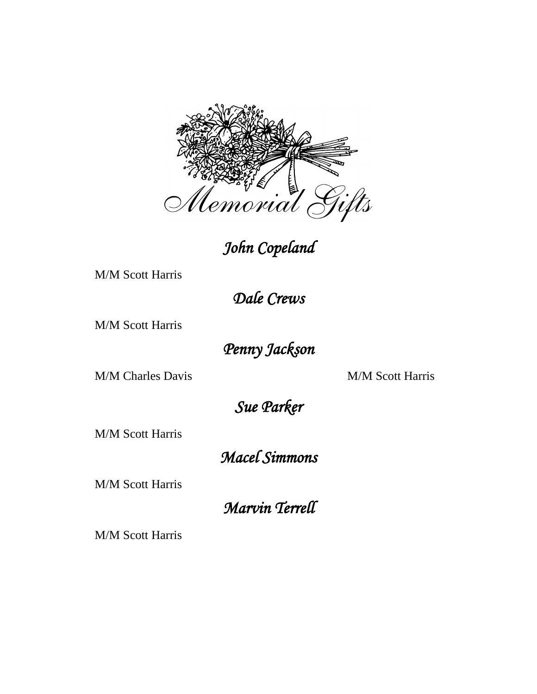

### *John Copeland*

M/M Scott Harris

*Dale Crews* 

M/M Scott Harris

*Penny Jackson* 

M/M Charles Davis M/M Scott Harris

*Sue Parker* 

M/M Scott Harris

*Macel Simmons* 

M/M Scott Harris

*Marvin Terrell* 

M/M Scott Harris